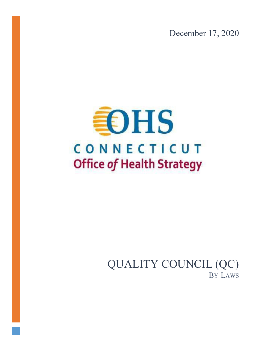December 17, 2020



QUALITY COUNCIL (QC) BY-LAWS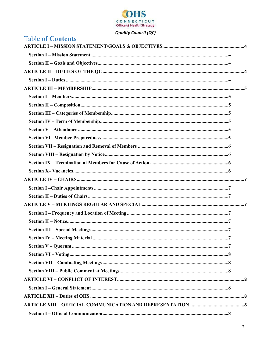

| <b>Table of Contents</b> |  |
|--------------------------|--|
|                          |  |
|                          |  |
|                          |  |
|                          |  |
|                          |  |
|                          |  |
|                          |  |
|                          |  |
|                          |  |
|                          |  |
|                          |  |
|                          |  |
|                          |  |
|                          |  |
|                          |  |
|                          |  |
|                          |  |
|                          |  |
|                          |  |
|                          |  |
|                          |  |
|                          |  |
|                          |  |
|                          |  |
|                          |  |
|                          |  |
|                          |  |
|                          |  |
|                          |  |
|                          |  |
|                          |  |
|                          |  |
|                          |  |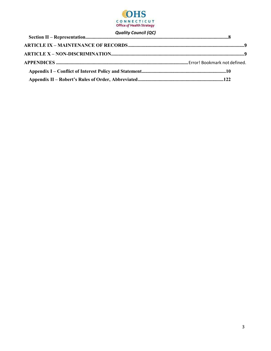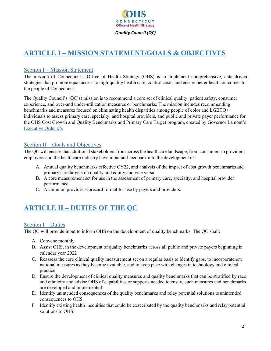

# <span id="page-3-0"></span>**ARTICLE I – MISSION STATEMENT/GOALS & OBJECTIVES**

## <span id="page-3-1"></span>Section I – Mission Statement

The mission of Connecticut's Office of Health Strategy (OHS) is to implement comprehensive, data driven strategies that promote equal access to high-quality health care, control costs, and ensure better health outcomes for the people of Connecticut.

<span id="page-3-2"></span>The Quality Council's (QC's) mission is to recommend a core set of clinical quality, patient safety, consumer experience, and over-and under-utilization measures or benchmarks. The mission includes recommending benchmarks and measures focused on eliminating health disparities among people of color and LGBTQ+ individuals to assess primary care, specialty, and hospital providers, and public and private payer performance for the OHS Cost Growth and Quality Benchmarks and Primary Care Target program, created by Governor Lamont's [Executive Order #5.](https://portal.ct.gov/-/media/Office-of-the-Governor/Executive-Orders/Lamont-Executive-Orders/Executive-Order-No-5.pdf)

## Section II – Goals and Objectives

The QC will ensure that additional stakeholders from across the healthcare landscape, from consumers to providers, employers and the healthcare industry have input and feedback into the development of:

- A. Annual quality benchmarks effective CY22, and analysis of the impact of cost growth benchmarks and primary care targets on quality and equity and vice versa.
- B. A core measurement set for use in the assessment of primary care, specialty, and hospital provider performance.
- C. A common provider scorecard format for use by payers and providers.

# <span id="page-3-3"></span>**ARTICLE II – DUTIES OF THE QC**

## <span id="page-3-4"></span>Section I – Duties

The QC will provide input to inform OHS on the development of quality benchmarks. The QC shall:

- A. Convene monthly.
- B. Assist OHS, in the development of quality benchmarks across all public and private payers beginning in calendar year 2022
- C. Reassess the core clinical quality measurement set on a regular basis to identify gaps, to incorporatenew national measures as they become available, and to keep pace with changes in technology and clinical practice
- D. Ensure the development of clinical quality measures and quality benchmarks that can be stratified by race and ethnicity and advise OHS of capabilities or supports needed to ensure such measures and benchmarks are developed and implemented
- E. Identify unintended consequences of the quality benchmarks and relay potential solutions tounintended consequences to OHS.
- F. Identify existing health inequities that could be exacerbated by the quality benchmarks and relaypotential solutions to OHS.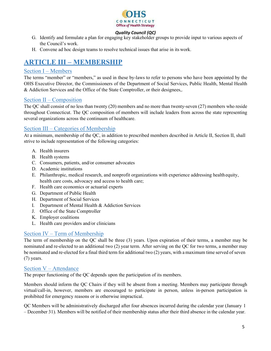<span id="page-4-1"></span>

- G. Identify and formulate a plan for engaging key stakeholder groups to provide input to various aspects of the Council's work.
- H. Convene ad hoc design teams to resolve technical issues that arise in its work.

# <span id="page-4-0"></span>**ARTICLE III – MEMBERSHIP**

### Section I – Members

The terms "member" or "members," as used in these by-laws to refer to persons who have been appointed by the OHS Executive Director, the Commissioners of the Department of Social Services, Public Health, Mental Health & Addiction Services and the Office of the State Comptroller, or their designees,.

## <span id="page-4-2"></span>Section II – Composition

The QC shall consist of no less than twenty (20) members and no more than twenty-seven (27) members who reside throughout Connecticut. The QC composition of members will include leaders from across the state representing several organizations across the continuum of healthcare.

## <span id="page-4-3"></span>Section III – Categories of Membership

At a minimum, membership of the QC, in addition to prescribed members described in Article II, Section II, shall strive to include representation of the following categories:

- A. Health insurers
- B. Health systems
- C. Consumers, patients, and/or consumer advocates
- D. Academic institutions
- E. Philanthropic, medical research, and nonprofit organizations with experience addressing healthequity, health care costs, advocacy and access to health care;
- F. Health care economics or actuarial experts
- G. Department of Public Health
- H. Department of Social Services
- I. Department of Mental Health & Addiction Services
- J. Office of the State Comptroller
- K. Employer coalitions
- <span id="page-4-4"></span>L. Health care providers and/or clinicians

## Section IV – Term of Membership

The term of membership on the QC shall be three (3) years. Upon expiration of their terms, a member may be nominated and re-elected to an additional two (2) year term. After serving on the QC for two terms, a member may be nominated and re-elected for a final third term for additional two (2) years, with a maximum time served of seven (7) years.

## <span id="page-4-5"></span>Section V – Attendance

The proper functioning of the QC depends upon the participation of its members.

Members should inform the QC Chairs if they will be absent from a meeting. Members may participate through virtual/call-in, however, members are encouraged to participate in person, unless in-person participation is prohibited for emergency reasons or is otherwise impractical.

QC Members will be administratively discharged after four absences incurred during the calendar year (January 1 – December 31). Members will be notified of their membership status after their third absence in the calendar year.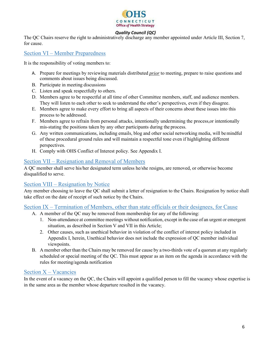

The QC Chairs reserve the right to administratively discharge any member appointed under Article III, Section 7, for cause.

## Section VI – Member Preparedness

It is the responsibility of voting members to:

- A. Prepare for meetings by reviewing materials distributed *prior* to meeting, prepare to raise questions and comments about issues being discussed.
- B. Participate in meeting discussions
- C. Listen and speak respectfully to others.
- D. Members agree to be respectful at all time of other Committee members, staff, and audience members. They will listen to each other to seek to understand the other's perspectives, even if they disagree.
- E. Members agree to make every effort to bring all aspects of their concerns about these issues into this process to be addressed.
- F. Members agree to refrain from personal attacks, intentionally undermining the process,or intentionally mis-stating the positions taken by any other participants during the process.
- G. Any written communications, including emails, blog and other social networking media, will bemindful of these procedural ground rules and will maintain a respectful tone even if highlighting different perspectives.
- H. Comply with OHS Conflict of Interest policy. See Appendix I.

### <span id="page-5-0"></span>Section VII – Resignation and Removal of Members

A QC member shall serve his/her designated term unless he/she resigns, are removed, or otherwise become disqualified to serve.

## <span id="page-5-1"></span>Section VIII – Resignation by Notice

Any member choosing to leave the QC shall submit a letter of resignation to the Chairs. Resignation by notice shall take effect on the date of receipt of such notice by the Chairs.

## <span id="page-5-2"></span>Section IX – Termination of Members, other than state officials or their designees, for Cause

- A. A member of the QC may be removed from membership for any of the following:
	- 1. Non-attendance at committee meetings without notification, except in the case of an urgent or emergent situation, as described in Section V and VII in this Article;
	- 2. Other causes, such as unethical behavior in violation of the conflict of interest policy included in Appendix I, herein, Unethical behavior does not include the expression of QC member individual viewpoints.
- B. A member other than the Chairs may be removed for cause by a two-thirds vote of a quorum at any regularly scheduled or special meeting of the QC. This must appear as an item on the agenda in accordance with the rules for meeting/agenda notification

## <span id="page-5-3"></span>Section X – Vacancies

In the event of a vacancy on the QC, the Chairs will appoint a qualified person to fill the vacancy whose expertise is in the same area as the member whose departure resulted in the vacancy.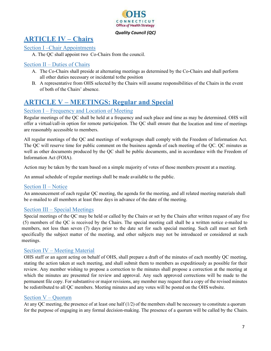

## <span id="page-6-0"></span>**ARTICLE IV – Chairs**

## <span id="page-6-1"></span>Section I –Chair Appointments

A. The QC shall appoint two Co-Chairs from the council.

## <span id="page-6-2"></span>Section II – Duties of Chairs

- A. The Co-Chairs shall preside at alternating meetings as determined by the Co-Chairs and shall perform all other duties necessary or incidental tothe position
- B. A representative from OHS selected by the Chairs will assume responsibilities of the Chairs in the event of both of the Chairs' absence.

## <span id="page-6-3"></span>**ARTICLE V – MEETINGS: Regular and Special**

## Section I – Frequency and Location of Meeting

Regular meetings of the QC shall be held at a frequency and such place and time as may be determined. OHS will offer a virtual/call-in option for remote participation. The QC shall ensure that the location and time of meetings are reasonably accessible to members.

All regular meetings of the QC and meetings of workgroups shall comply with the Freedom of Information Act. The QC will reserve time for public comment on the business agenda of each meeting of the QC. QC minutes as well as other documents produced by the QC shall be public documents, and in accordance with the Freedom of Information Act (FOIA).

Action may be taken by the team based on a simple majority of votes of those members present at a meeting.

An annual schedule of regular meetings shall be made available to the public.

## <span id="page-6-4"></span>Section II – Notice

An announcement of each regular QC meeting, the agenda for the meeting, and all related meeting materials shall be e-mailed to all members at least three days in advance of the date of the meeting.

## <span id="page-6-5"></span>Section III – Special Meetings

Special meetings of the QC may be held or called by the Chairs or set by the Chairs after written request of any five (5) members of the QC is received by the Chairs. The special meeting call shall be a written notice e-mailed to members, not less than seven (7) days prior to the date set for such special meeting. Such call must set forth specifically the subject matter of the meeting, and other subjects may not be introduced or considered at such meetings.

#### <span id="page-6-6"></span>Section IV – Meeting Material

OHS staff or an agent acting on behalf of OHS, shall prepare a draft of the minutes of each monthly QC meeting, stating the action taken at such meeting, and shall submit them to members as expeditiously as possible for their review. Any member wishing to propose a correction to the minutes shall propose a correction at the meeting at which the minutes are presented for review and approval. Any such approved corrections will be made to the permanent file copy. For substantive or major revisions, any member may request that a copy of the revised minutes be redistributed to all QC members. Meeting minutes and any votes will be posted on the OHS website.

#### <span id="page-6-7"></span>Section V – Quorum

At any QC meeting, the presence of at least one half  $(1/2)$  of the members shall be necessary to constitute a quorum for the purpose of engaging in any formal decision-making. The presence of a quorum will be called by the Chairs.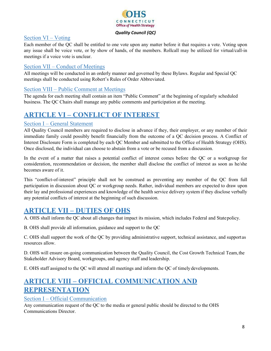

## <span id="page-7-0"></span>Section VI – Voting

Each member of the QC shall be entitled to one vote upon any matter before it that requires a vote. Voting upon any issue shall be voice vote, or by show of hands, of the members. Rollcall may be utilized for virtual/call-in meetings if a voice vote is unclear.

## <span id="page-7-1"></span>Section VII – Conduct of Meetings

All meetings will be conducted in an orderly manner and governed by these Bylaws. Regular and Special QC meetings shall be conducted using Robert's Rules of Order Abbreviated.

## <span id="page-7-2"></span>Section VIII – Public Comment at Meetings

The agenda for each meeting shall contain an item "Public Comment" at the beginning of regularly scheduled business. The QC Chairs shall manage any public comments and participation at the meeting.

# <span id="page-7-3"></span>**ARTICLE VI – CONFLICT OF INTEREST**

## <span id="page-7-4"></span>Section I – General Statement

All Quality Council members are required to disclose in advance if they, their employer, or any member of their immediate family could possibly benefit financially from the outcome of a QC decision process. A Conflict of Interest Disclosure Form is completed by each QC Member and submitted to the Office of Health Strategy (OHS). Once disclosed, the individual can choose to abstain from a vote or be recused from a discussion.

In the event of a matter that raises a potential conflict of interest comes before the QC or a workgroup for consideration, recommendation or decision, the member shall disclose the conflict of interest as soon as he/she becomes aware of it.

This "conflict-of-interest" principle shall not be construed as preventing any member of the QC from full participation in discussion about QC or workgroup needs. Rather, individual members are expected to draw upon their lay and professional experiences and knowledge of the health service delivery system if they disclose verbally any potential conflicts of interest at the beginning of such discussion.

## <span id="page-7-5"></span>**ARTICLE VII – DUTIES OF OHS**

A. OHS shall inform the QC about all changes that impact its mission, which includes Federal and Statepolicy.

B. OHS shall provide all information, guidance and support to the QC

C. OHS shall support the work of the QC by providing administrative support, technical assistance, and supportas resources allow.

D. OHS will ensure on-going communication between the Quality Council, the Cost Growth Technical Team,the Stakeholder Advisory Board, workgroups, and agency staff and leadership.

E. OHS staff assigned to the QC will attend all meetings and inform the QC of timely developments.

# <span id="page-7-6"></span>**ARTICLE VIII – OFFICIAL COMMUNICATION AND REPRESENTATION**

#### <span id="page-7-7"></span>Section I – Official Communication

Any communication request of the QC to the media or general public should be directed to the OHS Communications Director.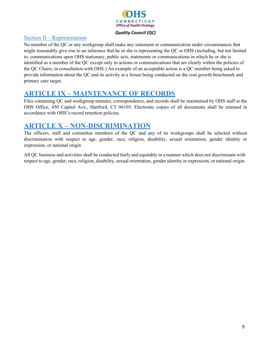

## <span id="page-8-0"></span>Section II – Representation

No member of the QC or any workgroup shall make any statement or communication under circumstances that might reasonably give rise to an inference that he or she is representing the QC or OHS (including, but not limited to, communications upon OHS stationary, public acts, statements or communications in which he or she is identified as a member of the QC except only in actions or communications that are clearly within the policies of the QC Chairs, in consultation with OHS.) An example of an acceptable action is a QC member being asked to provide information about the QC and its activity at a forum being conducted on the cost growth benchmark and primary care target.

## <span id="page-8-1"></span>**ARTICLE IX – MAINTENANCE OF RECORDS**

<span id="page-8-2"></span>Files containing QC and workgroup minutes, correspondence, and records shall be maintained by OHS staff at the OHS Office, 450 Capitol Ave., Hartford, CT 06105. Electronic copies of all documents shall be retained in accordance with OHS's record retention policies.

## **ARTICLE X – NON-DISCRIMINATION**

The officers, staff and committee members of the QC and any of its workgroups shall be selected without discrimination with respect to age, gender, race, religion, disability, sexual orientation, gender identity or expression, or national origin

All QC business and activities shall be conducted fairly and equitably in a manner which does not discriminate with respect to age, gender, race, religion, disability, sexual orientation, gender identity or expression, or national origin.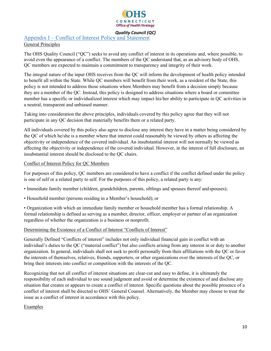

## <span id="page-9-0"></span>Appendix I – Conflict of Interest Policy and Statement

#### General Principles

The OHS Quality Council ("QC") seeks to avoid any conflict of interest in its operations and, where possible, to avoid even the appearance of a conflict. The members of the QC understand that, as an advisory body of OHS, QC members are expected to maintain a commitment to transparency and integrity of their work.

The integral nature of the input OHS receives from the QC will inform the development of health policy intended to benefit all within the State. While QC members will benefit from their work, as a resident of the State, this policy is not intended to address those situations where Members may benefit from a decision simply because they are a member of the QC. Instead, this policy is designed to address situations where a board or committee member has a specific or individualized interest which may impact his/her ability to participate in QC activities in a neutral, transparent and unbiased manner.

Taking into consideration the above principles, individuals covered by this policy agree that they will not participate in any QC decision that materially benefits them or a related party.

All individuals covered by this policy also agree to disclose any interest they have in a matter being considered by the QC of which he/she is a member where that interest could reasonably be viewed by others as affecting the objectivity or independence of the covered individual. An insubstantial interest will not normally be viewed as affecting the objectivity or independence of the covered individual. However, in the interest of full disclosure, an insubstantial interest should be disclosed to the QC chairs.

#### Conflict of Interest Policy for QC Members

For purposes of this policy, QC members are considered to have a conflict if the conflict defined under the policy is one of self or a related party to self. For the purposes of this policy, a related party is any:

- Immediate family member (children, grandchildren, parents, siblings and spouses thereof and spouses);
- Household member (persons residing in a Member's household); or
- Organization with which an immediate family member or household member has a formal relationship. A formal relationship is defined as serving as a member, director, officer, employer or partner of an organization regardless of whether the organization is a business or nonprofit.

#### Determining the Existence of a Conflict of Interest "Conflicts of Interest"

Generally Defined "Conflicts of interest" includes not only individual financial gain in conflict with an individual's duties to the QC ("material conflict") but also conflicts arising from any interest in or duty to another organization. In general, individuals shall not seek to profit personally from their affiliations with the QC or favor the interests of themselves, relatives, friends, supporters, or other organizations over the interests of the QC, or bring their interests into conflict or competition with the interests of the QC.

Recognizing that not all conflict of interest situations are clear-cut and easy to define, it is ultimately the responsibility of each individual to use sound judgment and avoid or determine the existence of and disclose any situation that creates or appears to create a conflict of interest. Specific questions about the possible presence of a conflict of interest shall be directed to OHS' General Counsel. Alternatively, the Member may choose to treat the issue as a conflict of interest in accordance with this policy.

#### **Examples**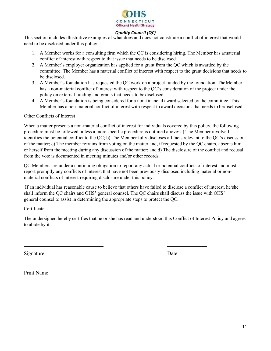

This section includes illustrative examples of what does and does not constitute a conflict of interest that would need to be disclosed under this policy.

- 1. A Member works for a consulting firm which the QC is considering hiring. The Member has amaterial conflict of interest with respect to that issue that needs to be disclosed.
- 2. A Member's employer organization has applied for a grant from the QC which is awarded by the committee. The Member has a material conflict of interest with respect to the grant decisions that needs to be disclosed.
- 3. A Member's foundation has requested the QC work on a project funded by the foundation. TheMember has a non-material conflict of interest with respect to the QC's consideration of the project under the policy on external funding and grants that needs to be disclosed
- 4. A Member's foundation is being considered for a non-financial award selected by the committee. This Member has a non-material conflict of interest with respect to award decisions that needs to be disclosed.

#### Other Conflicts of Interest

When a matter presents a non-material conflict of interest for individuals covered by this policy, the following procedure must be followed unless a more specific procedure is outlined above: a) The Member involved identifies the potential conflict to the QC; b) The Member fully discloses all facts relevant to the QC's discussion of the matter; c) The member refrains from voting on the matter and, if requested by the QC chairs, absents him or herself from the meeting during any discussion of the matter; and d) The disclosure of the conflict and recusal from the vote is documented in meeting minutes and/or other records.

QC Members are under a continuing obligation to report any actual or potential conflicts of interest and must report promptly any conflicts of interest that have not been previously disclosed including material or nonmaterial conflicts of interest requiring disclosure under this policy.

If an individual has reasonable cause to believe that others have failed to disclose a conflict of interest, he/she shall inform the QC chairs and OHS' general counsel. The QC chairs shall discuss the issue with OHS' general counsel to assist in determining the appropriate steps to protect the QC.

#### Certificate

The undersigned hereby certifies that he or she has read and understood this Conflict of Interest Policy and agrees to abide by it.

Signature Date

Print Name